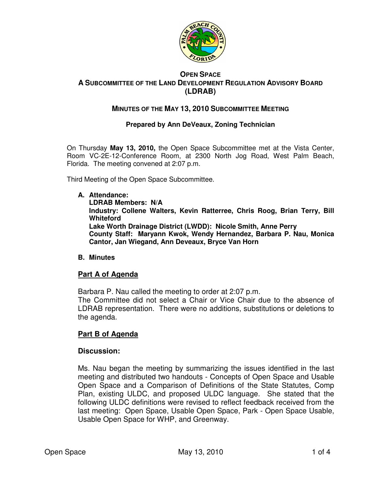

#### **OPEN SPACE A SUBCOMMITTEE OF THE LAND DEVELOPMENT REGULATION ADVISORY BOARD (LDRAB)**

# **MINUTES OF THE MAY 13, 2010 SUBCOMMITTEE MEETING**

## **Prepared by Ann DeVeaux, Zoning Technician**

On Thursday **May 13, 2010,** the Open Space Subcommittee met at the Vista Center, Room VC-2E-12-Conference Room, at 2300 North Jog Road, West Palm Beach, Florida. The meeting convened at 2:07 p.m.

Third Meeting of the Open Space Subcommittee.

#### **A. Attendance:**

**LDRAB Members: N/A Industry: Collene Walters, Kevin Ratterree, Chris Roog, Brian Terry, Bill Whiteford Lake Worth Drainage District (LWDD): Nicole Smith, Anne Perry County Staff: Maryann Kwok, Wendy Hernandez, Barbara P. Nau, Monica Cantor, Jan Wiegand, Ann Deveaux, Bryce Van Horn** 

## **B. Minutes**

## **Part A of Agenda**

Barbara P. Nau called the meeting to order at 2:07 p.m.

The Committee did not select a Chair or Vice Chair due to the absence of LDRAB representation. There were no additions, substitutions or deletions to the agenda.

## **Part B of Agenda**

## **Discussion:**

Ms. Nau began the meeting by summarizing the issues identified in the last meeting and distributed two handouts - Concepts of Open Space and Usable Open Space and a Comparison of Definitions of the State Statutes, Comp Plan, existing ULDC, and proposed ULDC language. She stated that the following ULDC definitions were revised to reflect feedback received from the last meeting: Open Space, Usable Open Space, Park - Open Space Usable, Usable Open Space for WHP, and Greenway.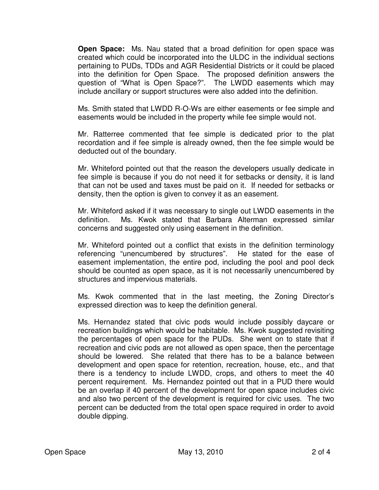**Open Space:** Ms. Nau stated that a broad definition for open space was created which could be incorporated into the ULDC in the individual sections pertaining to PUDs, TDDs and AGR Residential Districts or it could be placed into the definition for Open Space. The proposed definition answers the question of "What is Open Space?". The LWDD easements which may include ancillary or support structures were also added into the definition.

Ms. Smith stated that LWDD R-O-Ws are either easements or fee simple and easements would be included in the property while fee simple would not.

Mr. Ratterree commented that fee simple is dedicated prior to the plat recordation and if fee simple is already owned, then the fee simple would be deducted out of the boundary.

Mr. Whiteford pointed out that the reason the developers usually dedicate in fee simple is because if you do not need it for setbacks or density, it is land that can not be used and taxes must be paid on it. If needed for setbacks or density, then the option is given to convey it as an easement.

Mr. Whiteford asked if it was necessary to single out LWDD easements in the definition. Ms. Kwok stated that Barbara Alterman expressed similar concerns and suggested only using easement in the definition.

Mr. Whiteford pointed out a conflict that exists in the definition terminology referencing "unencumbered by structures". He stated for the ease of easement implementation, the entire pod, including the pool and pool deck should be counted as open space, as it is not necessarily unencumbered by structures and impervious materials.

Ms. Kwok commented that in the last meeting, the Zoning Director's expressed direction was to keep the definition general.

Ms. Hernandez stated that civic pods would include possibly daycare or recreation buildings which would be habitable. Ms. Kwok suggested revisiting the percentages of open space for the PUDs. She went on to state that if recreation and civic pods are not allowed as open space, then the percentage should be lowered. She related that there has to be a balance between development and open space for retention, recreation, house, etc., and that there is a tendency to include LWDD, crops, and others to meet the 40 percent requirement. Ms. Hernandez pointed out that in a PUD there would be an overlap if 40 percent of the development for open space includes civic and also two percent of the development is required for civic uses. The two percent can be deducted from the total open space required in order to avoid double dipping.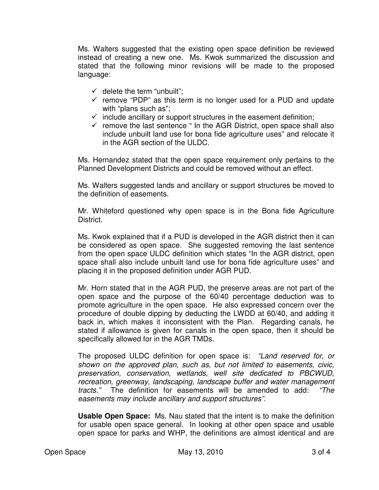Ms. Walters suggested that the existing open space definition be reviewed instead of creating a new one. Ms. Kwok summarized the discussion and stated that the following minor revisions will be made to the proposed language:

- $\checkmark$  delete the term "unbuilt";
- $\checkmark$  remove "PDP" as this term is no longer used for a PUD and update with "plans such as";
- $\checkmark$  include ancillary or support structures in the easement definition;
- $\checkmark$  remove the last sentence " In the AGR District, open space shall also include unbuilt land use for bona fide agriculture uses" and relocate it in the AGR section of the ULDC.

Ms. Hernandez stated that the open space requirement only pertains to the Planned Development Districts and could be removed without an effect.

Ms. Walters suggested lands and ancillary or support structures be moved to the definition of easements.

Mr. Whiteford questioned why open space is in the Bona fide Agriculture District.

Ms. Kwok explained that if a PUD is developed in the AGR district then it can be considered as open space. She suggested removing the last sentence from the open space ULDC definition which states "In the AGR district, open space shall also include unbuilt land use for bona fide agriculture uses" and placing it in the proposed definition under AGR PUD.

Mr. Horn stated that in the AGR PUD, the preserve areas are not part of the open space and the purpose of the 60/40 percentage deduction was to promote agriculture in the open space. He also expressed concern over the procedure of double dipping by deducting the LWDD at 60/40, and adding it back in, which makes it inconsistent with the Plan. Regarding canals, he stated if allowance is given for canals in the open space, then it should be specifically allowed for in the AGR TMDs.

The proposed ULDC definition for open space is: "Land reserved for, or shown on the approved plan, such as, but not limited to easements, civic, preservation, conservation, wetlands, well site dedicated to PBCWUD, recreation, greenway, landscaping, landscape buffer and water management tracts." The definition for easements will be amended to add: "The easements may include ancillary and support structures".

**Usable Open Space:** Ms. Nau stated that the intent is to make the definition for usable open space general. In looking at other open space and usable open space for parks and WHP, the definitions are almost identical and are